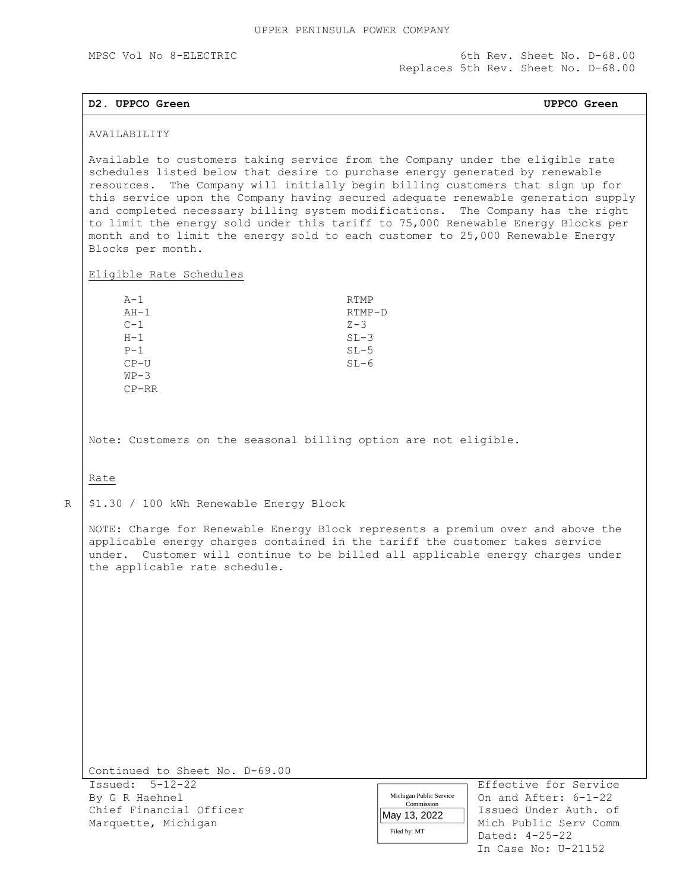MPSC Vol No 8-ELECTRIC 6th Rev. Sheet No. D-68.00 Replaces 5th Rev. Sheet No. D-68.00

## **D2. UPPCO Green UPPCO Green**

## AVAILABILITY

Available to customers taking service from the Company under the eligible rate schedules listed below that desire to purchase energy generated by renewable resources. The Company will initially begin billing customers that sign up for this service upon the Company having secured adequate renewable generation supply and completed necessary billing system modifications. The Company has the right to limit the energy sold under this tariff to 75,000 Renewable Energy Blocks per month and to limit the energy sold to each customer to 25,000 Renewable Energy Blocks per month.

Eligible Rate Schedules

| $A-1$   | <b>RTMP</b> |
|---------|-------------|
| $AH-1$  | $RTMP-D$    |
| $C-1$   | $Z - 3$     |
| $H-1$   | $SL-3$      |
| $P-1$   | $SL-5$      |
| $CP-U$  | $SL-6$      |
| $WP-3$  |             |
| $CP-RR$ |             |

Note: Customers on the seasonal billing option are not eligible.

# Rate

R

\$1.30 / 100 kWh Renewable Energy Block

NOTE: Charge for Renewable Energy Block represents a premium over and above the applicable energy charges contained in the tariff the customer takes service under. Customer will continue to be billed all applicable energy charges under the applicable rate schedule.

Continued to Sheet No. D-69.00

Issued: 5-12-22 Effective for Service By G R Haehnel **Contained After: 6-1-22** Nichigan Public Service | On and After: 6-1-22 Chief Financial Officer Issued Under Auth. of Marquette, Michigan Michael Mich Public Serv Comm

| Michigan Public Service |
|-------------------------|
| Commission              |
| May 13, 2022            |
| Filed by: MT            |

 Dated: 4-25-22 In Case No: U-21152